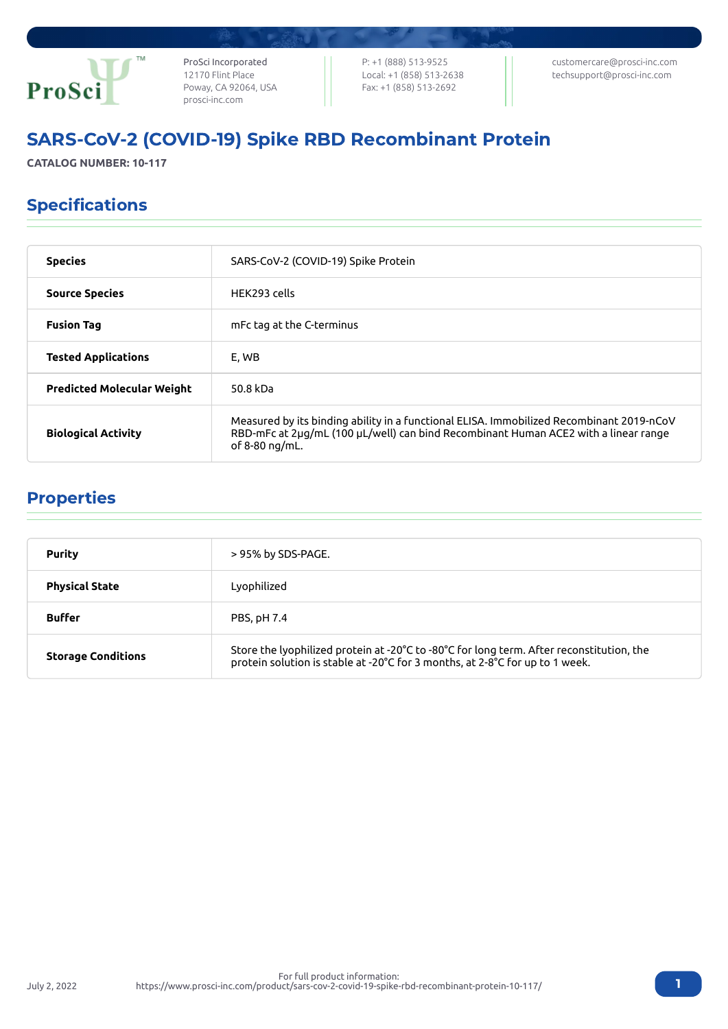

ProSci Incorporated 12170 Flint Place Poway, CA 92064, USA [prosci-inc.com](https://prosci-inc.com/)

P: +1 (888) 513-9525 Local: +1 (858) 513-2638 Fax: +1 (858) 513-2692

[customercare@prosci-inc.com](mailto:customercare@prosci-inc.com) [techsupport@prosci-inc.com](mailto:techsupport@prosci-inc.com)

# SARS-CoV-2 (COVID-19) Spike RBD Recombinant Protein

**CATALOG NUMBER: 10-117**

## Specifications

| <b>Species</b>                    | SARS-CoV-2 (COVID-19) Spike Protein                                                                                                                                                               |
|-----------------------------------|---------------------------------------------------------------------------------------------------------------------------------------------------------------------------------------------------|
| <b>Source Species</b>             | HFK293 cells                                                                                                                                                                                      |
| <b>Fusion Tag</b>                 | mFc tag at the C-terminus                                                                                                                                                                         |
| <b>Tested Applications</b>        | E. WB                                                                                                                                                                                             |
| <b>Predicted Molecular Weight</b> | 50.8 kDa                                                                                                                                                                                          |
| <b>Biological Activity</b>        | Measured by its binding ability in a functional ELISA. Immobilized Recombinant 2019-nCoV<br>RBD-mFc at 2µg/mL (100 µL/well) can bind Recombinant Human ACE2 with a linear range<br>of 8-80 ng/mL. |

## Properties

July 2, 2022

| <b>Purity</b>             | > 95% by SDS-PAGE.                                                                                                                                                       |
|---------------------------|--------------------------------------------------------------------------------------------------------------------------------------------------------------------------|
| <b>Physical State</b>     | Lyophilized                                                                                                                                                              |
| <b>Buffer</b>             | PBS, pH 7.4                                                                                                                                                              |
| <b>Storage Conditions</b> | Store the lyophilized protein at -20°C to -80°C for long term. After reconstitution, the<br>protein solution is stable at -20°C for 3 months, at 2-8°C for up to 1 week. |